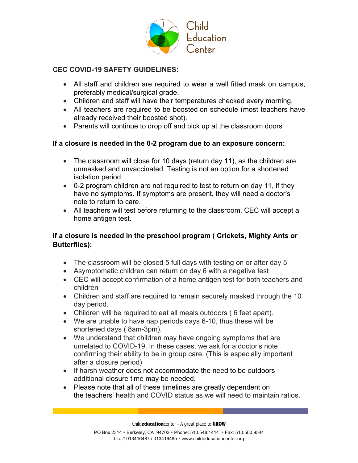

## **CEC COVID-19 SAFETY GUIDELINES:**

- All staff and children are required to wear a well fitted mask on campus, preferably medical/surgical grade.
- Children and staff will have their temperatures checked every morning.
- All teachers are required to be boosted on schedule (most teachers have already received their boosted shot).
- Parents will continue to drop off and pick up at the classroom doors

## **If a closure is needed in the 0-2 program due to an exposure concern:**

- The classroom will close for 10 days (return day 11), as the children are unmasked and unvaccinated. Testing is not an option for a shortened isolation period.
- 0-2 program children are not required to test to return on day 11, if they have no symptoms. If symptoms are present, they will need a doctor's note to return to care.
- All teachers will test before returning to the classroom. CEC will accept a home antigen test.

## **If a closure is needed in the preschool program ( Crickets, Mighty Ants or Butterflies):**

- The classroom will be closed 5 full days with testing on or after day 5
- Asymptomatic children can return on day 6 with a negative test
- CEC will accept confirmation of a home antigen test for both teachers and children
- Children and staff are required to remain securely masked through the 10 day period.
- Children will be required to eat all meals outdoors ( 6 feet apart).
- We are unable to have nap periods days 6-10, thus these will be shortened days ( 8am-3pm).
- We understand that children may have ongoing symptoms that are unrelated to COVID-19. In these cases, we ask for a doctor's note confirming their ability to be in group care. (This is especially important after a closure period)
- If harsh weather does not accommodate the need to be outdoors additional closure time may be needed.
- Please note that all of these timelines are greatly dependent on the teachers' health and COVID status as we will need to maintain ratios.

Child**education**center - A great place to **GROW**